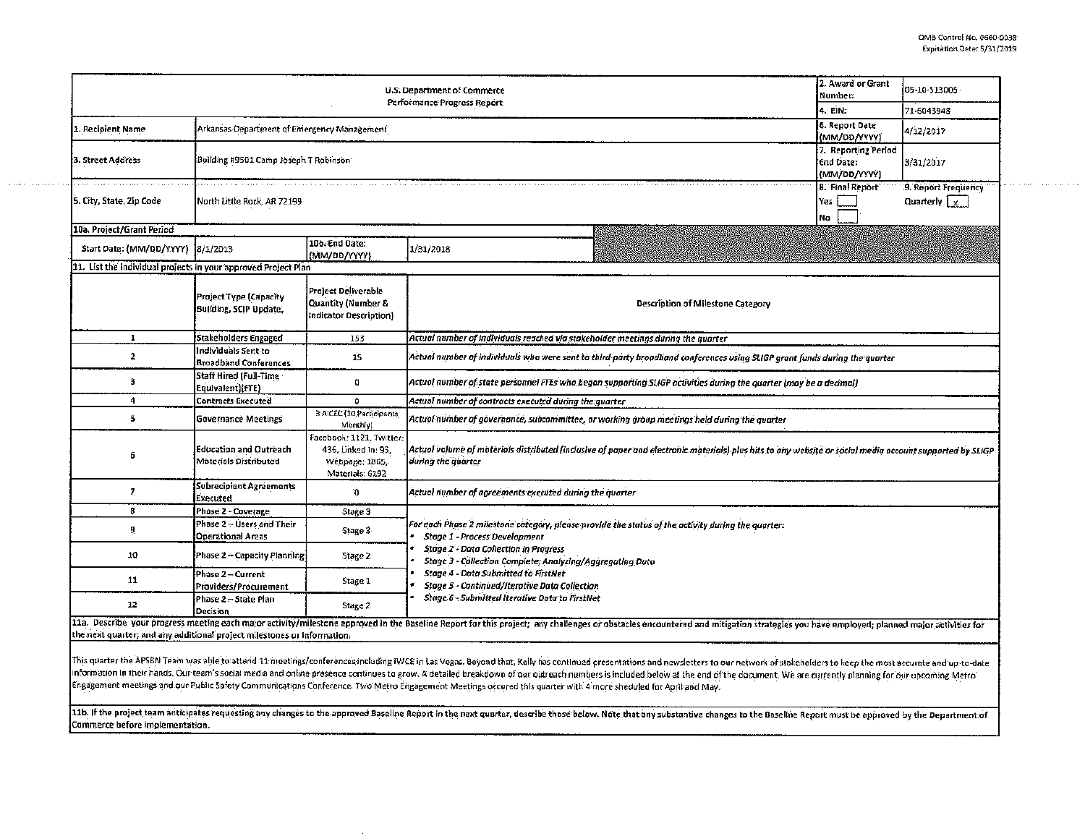الفاقا فالمتار المتفارد فالمتحدث فالمال

| U.S. Department of Commerce<br>Performance Progress Report                                                                                                                                                                                                                                                |                                                        |                                                                                      |                                                                                                                                                                                |  | 05-10-513005 |  |  |  |  |  |
|-----------------------------------------------------------------------------------------------------------------------------------------------------------------------------------------------------------------------------------------------------------------------------------------------------------|--------------------------------------------------------|--------------------------------------------------------------------------------------|--------------------------------------------------------------------------------------------------------------------------------------------------------------------------------|--|--------------|--|--|--|--|--|
|                                                                                                                                                                                                                                                                                                           | 4. EIN:                                                | 71-6043948                                                                           |                                                                                                                                                                                |  |              |  |  |  |  |  |
| 1. Recipient Name                                                                                                                                                                                                                                                                                         | Arkansas Department of Emergency Management            | 6. Report Date<br>(MM/DD/YYYY)                                                       | 4/12/2017                                                                                                                                                                      |  |              |  |  |  |  |  |
| 3. Street Address                                                                                                                                                                                                                                                                                         | Building #9501 Camp Joseph T Robinson                  | 7. Reporting Period<br>End Date:<br>(MM/DD/YYYY)                                     | 3/31/2017                                                                                                                                                                      |  |              |  |  |  |  |  |
| 5. City, State, Zip Code                                                                                                                                                                                                                                                                                  | North Little Rock, AR 72199                            | 8. Final Report<br>Yes<br>No                                                         | 9. Report Frequency<br>Quarterly $\sqrt{\frac{1}{1-x}}$                                                                                                                        |  |              |  |  |  |  |  |
| 10a. Project/Grant Period                                                                                                                                                                                                                                                                                 |                                                        |                                                                                      |                                                                                                                                                                                |  |              |  |  |  |  |  |
| Start Date: (MM/DD/YYYY)                                                                                                                                                                                                                                                                                  | 8/1/2013                                               | 10b. End Date:<br>(MM/DD/YYYY)                                                       | 1/31/2018                                                                                                                                                                      |  |              |  |  |  |  |  |
| 11. List the individual projects in your approved Project Plan                                                                                                                                                                                                                                            |                                                        |                                                                                      |                                                                                                                                                                                |  |              |  |  |  |  |  |
|                                                                                                                                                                                                                                                                                                           | Project Type (Capacity<br>Building, SCIP Update,       | Project Deliverable<br>Quantity (Number &<br>Indicator Description)                  | Description of Milestone Category                                                                                                                                              |  |              |  |  |  |  |  |
| $\mathbf{I}$                                                                                                                                                                                                                                                                                              | Stakeholders Engaged                                   | 153                                                                                  | Actual number of individuals reached via stakeholder meetings during the quarter                                                                                               |  |              |  |  |  |  |  |
| $\mathbf{2}$                                                                                                                                                                                                                                                                                              | Individuals Sent to<br><b>Broadband Conferences</b>    | 15                                                                                   | Actual number of individuals who were sent to third-party broadband conferences using SLIGP grant funds during the quarter                                                     |  |              |  |  |  |  |  |
| з                                                                                                                                                                                                                                                                                                         | Staff Hired (Full-Time<br>Equivalent)(FTE)             | û                                                                                    | Actual number of state personnel FTEs who began supporting SLIGP activities during the quarter (may be a decimal)                                                              |  |              |  |  |  |  |  |
| 4                                                                                                                                                                                                                                                                                                         | Contracts Executed                                     | 0                                                                                    | Actual number of contracts executed during the quarter                                                                                                                         |  |              |  |  |  |  |  |
| 5                                                                                                                                                                                                                                                                                                         | <b>Governance Meetings</b>                             | 3 AICEC (10 Participants<br>Monthly)                                                 | Actual number of governance, subcommittee, or working group meetings held during the quarter                                                                                   |  |              |  |  |  |  |  |
| 6                                                                                                                                                                                                                                                                                                         | <b>Education and Outreach</b><br>Materials Distributed | Facebook: 1121, Twitter:<br>436, Linked In: 95,<br>Webpage: 1865.<br>Materials: 6192 | Actual volume of moterials distributed (inclusive of paper and electronic materials) plus hits to any website or social media account supported by SLIGP<br>during the quarter |  |              |  |  |  |  |  |
| $\mathbf{7}$                                                                                                                                                                                                                                                                                              | Subrecipient Agreements<br>Executed                    | 0                                                                                    | Actual number of agreements executed during the quarter                                                                                                                        |  |              |  |  |  |  |  |
| 8                                                                                                                                                                                                                                                                                                         | Phase 2 - Coverage                                     | Stage 3                                                                              |                                                                                                                                                                                |  |              |  |  |  |  |  |
| 9                                                                                                                                                                                                                                                                                                         | Phase 2 - Users and Their<br><b>Operational Areas</b>  | Stage 3                                                                              | For each Phase 2 milestone category, please provide the status of the activity during the quarter:<br><b>Stage 1 - Process Development</b>                                     |  |              |  |  |  |  |  |
| 10                                                                                                                                                                                                                                                                                                        | Phase 2 - Capacity Planning                            | Stage 2                                                                              | <b>Stage 2 - Data Collection in Progress</b><br>Stage 3 - Collection Complete; Analyzina/Agaregatina Data                                                                      |  |              |  |  |  |  |  |
| 11                                                                                                                                                                                                                                                                                                        | Phase 2 - Current<br>Providers/Procurement             | Stage 1                                                                              | <b>Stage 4 - Data Submitted to FirstNet</b><br><b>Stage S - Continued/Iterative Data Collection</b>                                                                            |  |              |  |  |  |  |  |
| 12                                                                                                                                                                                                                                                                                                        | Phase 2 - State Plan<br>Decision                       | Stage 2                                                                              | Stage 6 - Submitted Iterative Data to FirstNet                                                                                                                                 |  |              |  |  |  |  |  |
| 11a. Describe your progress meeting each major activity/milestone approved in the Baseline Report for this project; any challenges or obstacles encountered and mitigation strategies you have employed; planned major activit<br>the next quarter, and any additional project milestones or information. |                                                        |                                                                                      |                                                                                                                                                                                |  |              |  |  |  |  |  |

 $\alpha$  , the state is a second contribution

This quarter the APSBN Team was able to attend 11 meetings/conferences including IWCE in Las Vegas. Beyond that, Kelly has continued presentations and newsletters to our network of stakeholders to keep the most accurate an information in their hands. Our team's social media and online presence continues to grow. A detailed breakdown of our outreach numbers is included below at the end of the document. We are currently planning for our upcomi Engagement meetings and our Public Safety Communications Conference. Two Metro Engagement Meetings occured this quarter with 4 more sheduled for April and May.

11b. If the project team anticipates requesting any changes to the approved Baseline Report in the next quarter, describe those below. Note that any substantive changes to the Baseline Report must be approved by the Depart Commerce before implementation.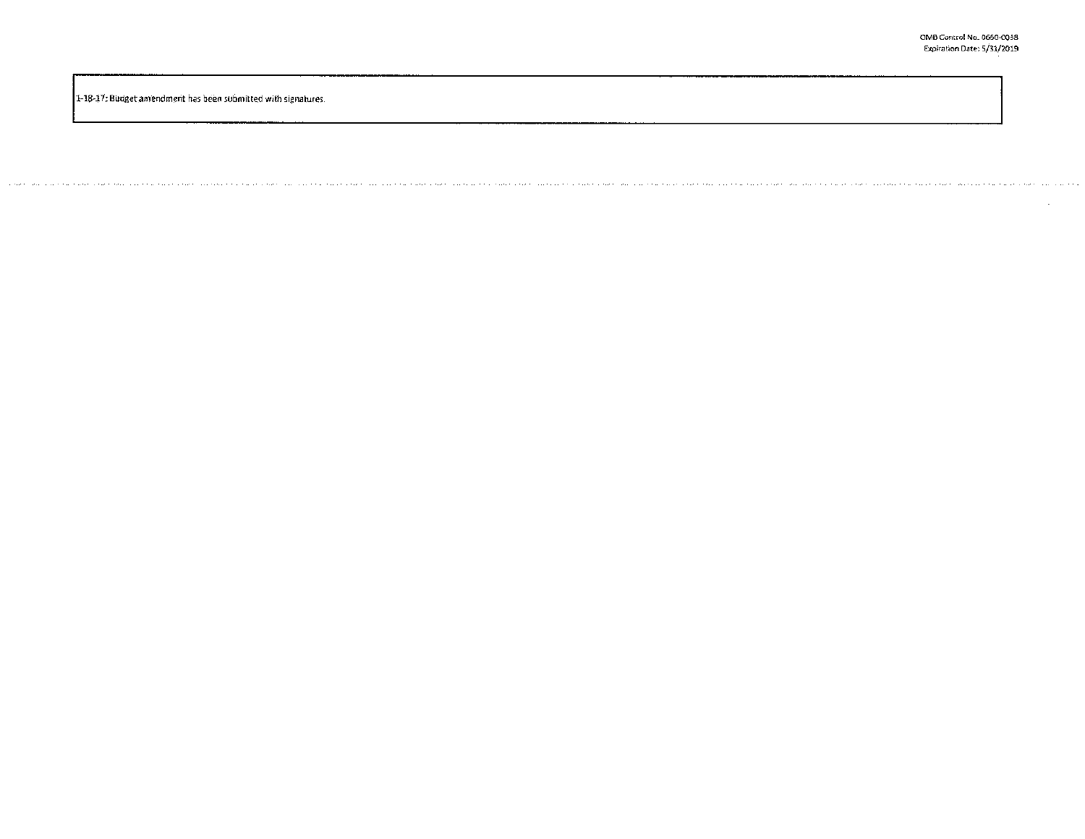1-18-17: Budget amendment has been submitted with signatures.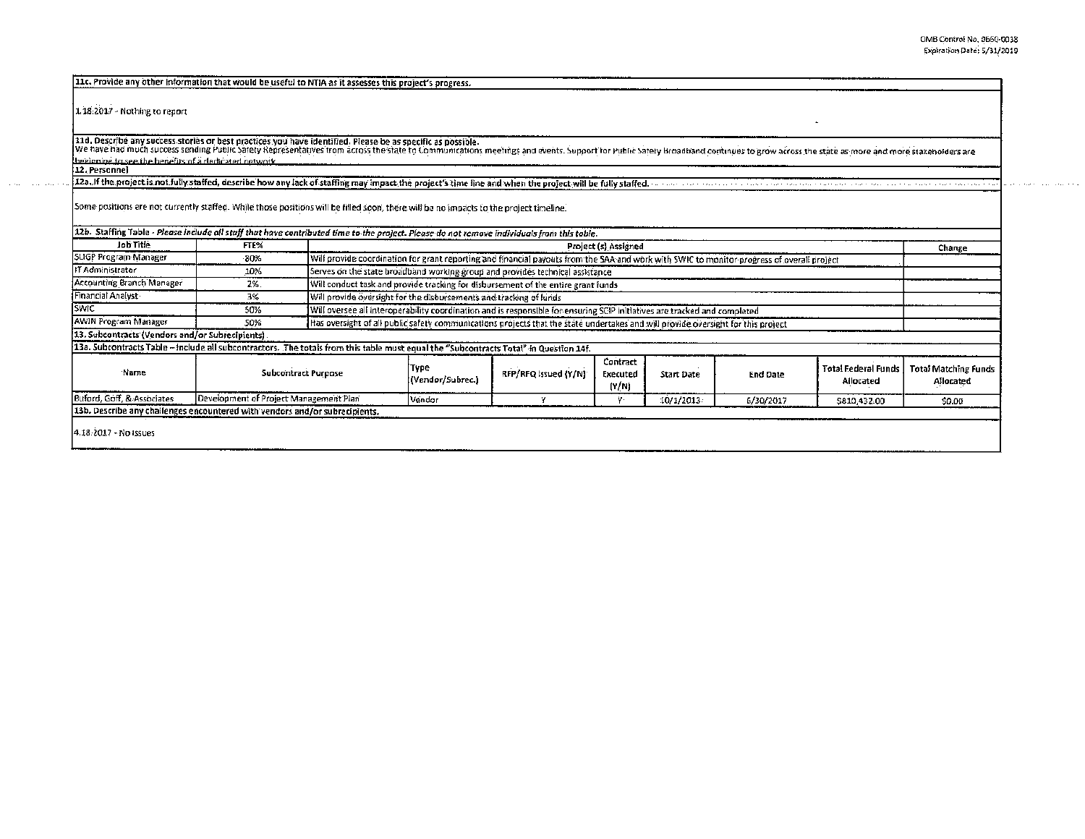| 11c. Provide any other information that would be useful to NTIA as it assesses this project's progress.                                                                                                                        |                                        |                                                                                                                                            |                          |                      |                               |                   |                 |                                         |                                          |
|--------------------------------------------------------------------------------------------------------------------------------------------------------------------------------------------------------------------------------|----------------------------------------|--------------------------------------------------------------------------------------------------------------------------------------------|--------------------------|----------------------|-------------------------------|-------------------|-----------------|-----------------------------------------|------------------------------------------|
| 1.18.2017 - Nothing to report                                                                                                                                                                                                  |                                        |                                                                                                                                            |                          |                      |                               |                   |                 |                                         |                                          |
| 11d. Describe any success stories or best practices you have identified. Please be as specific as possible.                                                                                                                    |                                        |                                                                                                                                            |                          |                      |                               |                   |                 |                                         |                                          |
| We have had much success sending Public safety Representatives from across the state to Communications meetings and events. Support for Public safety Broadband continues to grow across the state as more and more stakeholde |                                        |                                                                                                                                            |                          |                      |                               |                   |                 |                                         |                                          |
| heeloning to see the benefits of a dedicated network.<br>12. Personnel                                                                                                                                                         |                                        |                                                                                                                                            |                          |                      |                               |                   |                 |                                         |                                          |
| 12a. If the project is not fully staffed, describe how any lack of staffing may impact the project's time line and when the project will be fully staffed.                                                                     |                                        |                                                                                                                                            |                          |                      |                               |                   |                 |                                         |                                          |
| Some positions are not currently staffed. While those positions will be filled soon, there will be no impacts to the project timeline.                                                                                         |                                        |                                                                                                                                            |                          |                      |                               |                   |                 |                                         |                                          |
| 12b. Staffing Table - Please include all staff that have contributed time to the project. Please do not remove individuals from this toble.                                                                                    |                                        |                                                                                                                                            |                          |                      |                               |                   |                 |                                         |                                          |
| Job Title                                                                                                                                                                                                                      | FTE%                                   | Project (s) Assigned                                                                                                                       |                          |                      |                               |                   |                 | Change                                  |                                          |
| SUGP Program Manager                                                                                                                                                                                                           | -80%                                   | Will provide coordination for grant reporting and financial payouts from the SAA and work with SWIC to monitor progress of overall project |                          |                      |                               |                   |                 |                                         |                                          |
| IT Administrator                                                                                                                                                                                                               | 10%                                    | Serves on the state broadband working group and provides technical assistance                                                              |                          |                      |                               |                   |                 |                                         |                                          |
| Accounting Branch Manager                                                                                                                                                                                                      | 2%                                     | Will conduct task and provide tracking for disbursement of the entire grant funds                                                          |                          |                      |                               |                   |                 |                                         |                                          |
| Financial Analyst                                                                                                                                                                                                              | 3%                                     | Will provide oversight for the disbursements and tracking of funds                                                                         |                          |                      |                               |                   |                 |                                         |                                          |
| <b>SWIC</b>                                                                                                                                                                                                                    | 50%                                    | Will oversee all interoperability coordination and is responsible for ensuring SCIP initiatives are tracked and completed                  |                          |                      |                               |                   |                 |                                         |                                          |
| <b>AWIN Program Manager</b>                                                                                                                                                                                                    | 50%                                    | Has oversight of all public safety communications projects that the state undertakes and will provide oversight for this project.          |                          |                      |                               |                   |                 |                                         |                                          |
| 13. Subcontracts (Vendors and/or Subrecipients).                                                                                                                                                                               |                                        |                                                                                                                                            |                          |                      |                               |                   |                 |                                         |                                          |
| 13a. Subcontracts Table - include all subcontractors. The totals from this table must equal the "Subcontracts Total" in Question 14f.                                                                                          |                                        |                                                                                                                                            |                          |                      |                               |                   |                 |                                         |                                          |
| Name.                                                                                                                                                                                                                          | <b>Subcontract Purpose</b>             |                                                                                                                                            | Type<br>(Vendor/Subrec.) | RFP/RFQ Issued (Y/N) | Contract<br>Executed<br>(Y/N) | <b>Start Date</b> | <b>End Date</b> | <b>Total Federal Funds</b><br>Allocated | <b>Total Matching Funds</b><br>Allocated |
| Buford, Goff, & Associates                                                                                                                                                                                                     | Development of Project Management Plan |                                                                                                                                            | Vendor                   | Y                    |                               | 10/1/2013         | 6/30/2017       | \$810,432.00                            | \$0.00                                   |
| 13b. Describe any challenges encountered with vendors and/or subrecipients.                                                                                                                                                    |                                        |                                                                                                                                            |                          |                      |                               |                   |                 |                                         |                                          |
| 4.18.2017 - No Issues                                                                                                                                                                                                          |                                        |                                                                                                                                            |                          |                      |                               |                   |                 |                                         |                                          |

 $\mathcal{L}(e, \mathcal{L}) = \mathcal{L}(e, \mathcal{L}(e, \mathcal{L}))$  .